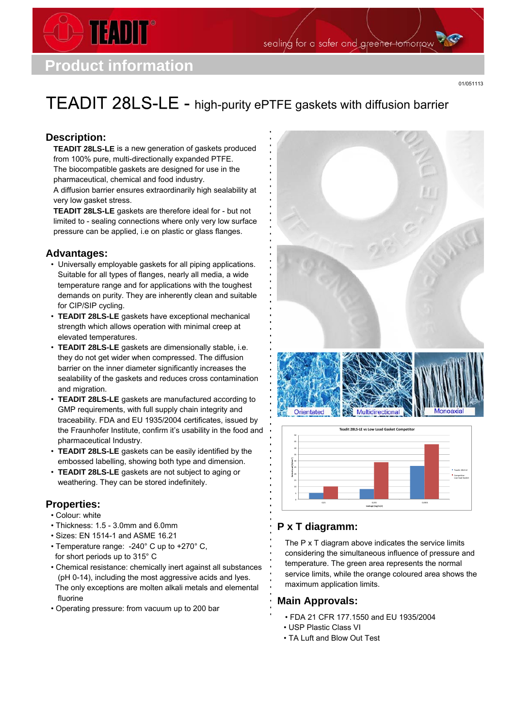

TEADIT

01/051113

# TEADIT 28LS-LE - high-purity ePTFE gaskets with diffusion barrier

## **Description:**

**TEADIT 28LS-LE** is a new generation of gaskets produced from 100% pure, multi-directionally expanded PTFE. The biocompatible gaskets are designed for use in the pharmaceutical, chemical and food industry. A diffusion barrier ensures extraordinarily high sealability at very low gasket stress.

**TEADIT 28LS-LE** gaskets are therefore ideal for - but not limited to - sealing connections where only very low surface pressure can be applied, i.e on plastic or glass flanges.

#### **Advantages:**

- Universally employable gaskets for all piping applications. Suitable for all types of flanges, nearly all media, a wide temperature range and for applications with the toughest demands on purity. They are inherently clean and suitable for CIP/SIP cycling.
- **TEADIT 28LS-LE** gaskets have exceptional mechanical strength which allows operation with minimal creep at elevated temperatures.
- **TEADIT 28LS-LE** gaskets are dimensionally stable, i.e. they do not get wider when compressed. The diffusion barrier on the inner diameter significantly increases the sealability of the gaskets and reduces cross contamination and migration.
- **TEADIT 28LS-LE** gaskets are manufactured according to GMP requirements, with full supply chain integrity and traceability. FDA and EU 1935/2004 certificates, issued by the Fraunhofer Institute, confirm it's usability in the food and pharmaceutical Industry.
- **TEADIT 28LS-LE** gaskets can be easily identified by the embossed labelling, showing both type and dimension.
- **TEADIT 28LS-LE** gaskets are not subject to aging or weathering. They can be stored indefinitely.

## **Properties:**

- Colour: white
- Thickness: 1.5 3.0mm and 6.0mm
- Sizes: EN 1514-1 and ASME 16.21
- Temperature range: -240° C up to +270° C, for short periods up to 315° C
- Chemical resistance: chemically inert against all substances (pH 0-14), including the most aggressive acids and lyes. The only exceptions are molten alkali metals and elemental fluorine
- Operating pressure: from vacuum up to 200 bar





## **P x T diagramm:**

The P x T diagram above indicates the service limits considering the simultaneous influence of pressure and temperature. The green area represents the normal service limits, while the orange coloured area shows the maximum application limits.

## **Main Approvals:**

- FDA 21 CFR 177.1550 and EU 1935/2004
- USP Plastic Class VI
- TA Luft and Blow Out Test